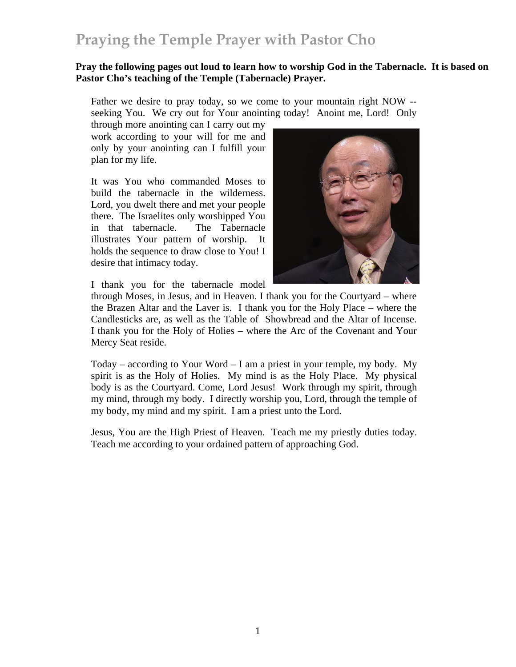## **Praying the Temple Prayer with Pastor Cho**

#### **Pray the following pages out loud to learn how to worship God in the Tabernacle. It is based on Pastor Cho's teaching of the Temple (Tabernacle) Prayer.**

Father we desire to pray today, so we come to your mountain right NOW - seeking You. We cry out for Your anointing today! Anoint me, Lord! Only

through more anointing can I carry out my work according to your will for me and only by your anointing can I fulfill your plan for my life.

It was You who commanded Moses to build the tabernacle in the wilderness. Lord, you dwelt there and met your people there. The Israelites only worshipped You in that tabernacle. The Tabernacle illustrates Your pattern of worship. It holds the sequence to draw close to You! I desire that intimacy today.



I thank you for the tabernacle model

through Moses, in Jesus, and in Heaven. I thank you for the Courtyard – where the Brazen Altar and the Laver is. I thank you for the Holy Place – where the Candlesticks are, as well as the Table of Showbread and the Altar of Incense. I thank you for the Holy of Holies – where the Arc of the Covenant and Your Mercy Seat reside.

Today – according to Your Word – I am a priest in your temple, my body. My spirit is as the Holy of Holies. My mind is as the Holy Place. My physical body is as the Courtyard. Come, Lord Jesus! Work through my spirit, through my mind, through my body. I directly worship you, Lord, through the temple of my body, my mind and my spirit. I am a priest unto the Lord.

Jesus, You are the High Priest of Heaven. Teach me my priestly duties today. Teach me according to your ordained pattern of approaching God.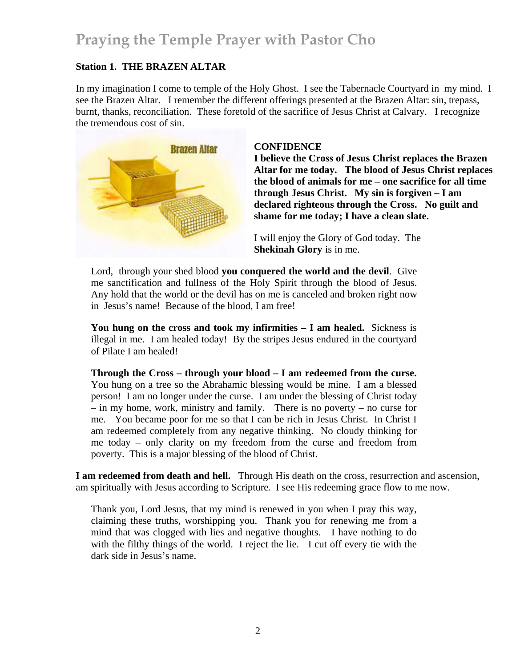#### **Station 1. THE BRAZEN ALTAR**

In my imagination I come to temple of the Holy Ghost. I see the Tabernacle Courtyard in my mind. I see the Brazen Altar. I remember the different offerings presented at the Brazen Altar: sin, trepass, burnt, thanks, reconciliation. These foretold of the sacrifice of Jesus Christ at Calvary. I recognize the tremendous cost of sin.



#### **CONFIDENCE**

**I believe the Cross of Jesus Christ replaces the Brazen Altar for me today. The blood of Jesus Christ replaces the blood of animals for me – one sacrifice for all time through Jesus Christ. My sin is forgiven – I am declared righteous through the Cross. No guilt and shame for me today; I have a clean slate.** 

I will enjoy the Glory of God today. The **Shekinah Glory** is in me.

Lord, through your shed blood **you conquered the world and the devil**. Give me sanctification and fullness of the Holy Spirit through the blood of Jesus. Any hold that the world or the devil has on me is canceled and broken right now in Jesus's name! Because of the blood, I am free!

**You hung on the cross and took my infirmities – I am healed.** Sickness is illegal in me. I am healed today! By the stripes Jesus endured in the courtyard of Pilate I am healed!

**Through the Cross – through your blood – I am redeemed from the curse.** You hung on a tree so the Abrahamic blessing would be mine. I am a blessed person! I am no longer under the curse. I am under the blessing of Christ today – in my home, work, ministry and family. There is no poverty – no curse for me. You became poor for me so that I can be rich in Jesus Christ. In Christ I am redeemed completely from any negative thinking. No cloudy thinking for me today – only clarity on my freedom from the curse and freedom from poverty. This is a major blessing of the blood of Christ.

**I am redeemed from death and hell.** Through His death on the cross, resurrection and ascension, am spiritually with Jesus according to Scripture. I see His redeeming grace flow to me now.

Thank you, Lord Jesus, that my mind is renewed in you when I pray this way, claiming these truths, worshipping you. Thank you for renewing me from a mind that was clogged with lies and negative thoughts. I have nothing to do with the filthy things of the world. I reject the lie. I cut off every tie with the dark side in Jesus's name.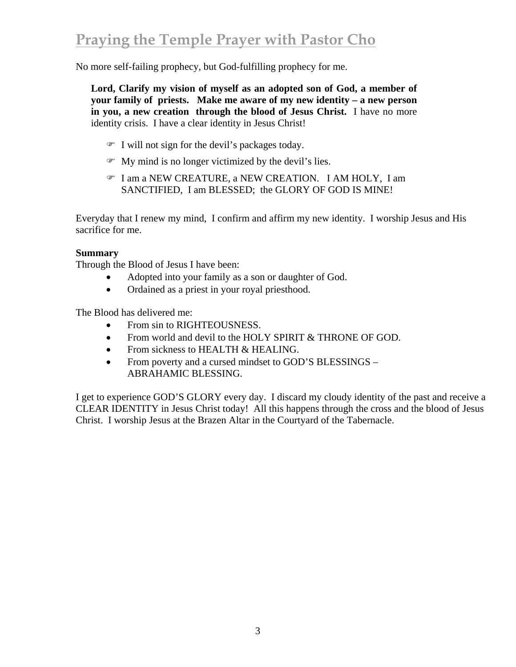No more self-failing prophecy, but God-fulfilling prophecy for me.

**Lord, Clarify my vision of myself as an adopted son of God, a member of your family of priests. Make me aware of my new identity – a new person in you, a new creation through the blood of Jesus Christ.** I have no more identity crisis. I have a clear identity in Jesus Christ!

- $\mathcal{F}$  I will not sign for the devil's packages today.
- $\mathcal{F}$  My mind is no longer victimized by the devil's lies.
- ) I am a NEW CREATURE, a NEW CREATION. I AM HOLY, I am SANCTIFIED, I am BLESSED; the GLORY OF GOD IS MINE!

Everyday that I renew my mind, I confirm and affirm my new identity. I worship Jesus and His sacrifice for me.

#### **Summary**

Through the Blood of Jesus I have been:

- Adopted into your family as a son or daughter of God.
- Ordained as a priest in your royal priesthood.

The Blood has delivered me:

- From sin to RIGHTEOUSNESS.
- From world and devil to the HOLY SPIRIT & THRONE OF GOD.
- From sickness to HEALTH & HEALING.
- From poverty and a cursed mindset to GOD'S BLESSINGS ABRAHAMIC BLESSING.

I get to experience GOD'S GLORY every day. I discard my cloudy identity of the past and receive a CLEAR IDENTITY in Jesus Christ today! All this happens through the cross and the blood of Jesus Christ. I worship Jesus at the Brazen Altar in the Courtyard of the Tabernacle.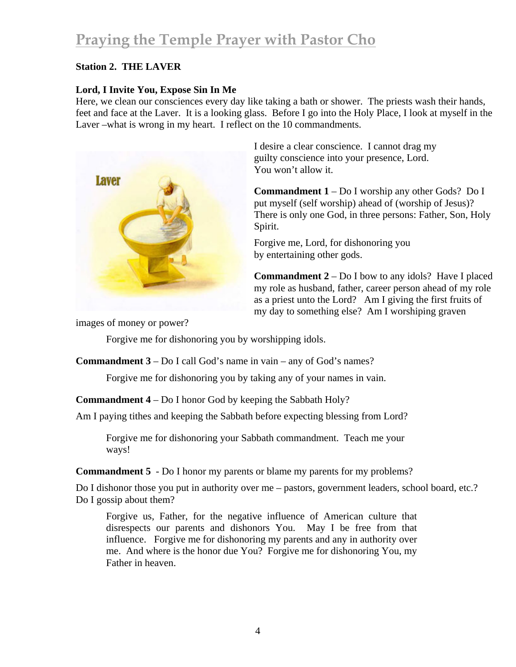# **Praying the Temple Prayer with Pastor Cho**

#### **Station 2. THE LAVER**

### **Lord, I Invite You, Expose Sin In Me**

Here, we clean our consciences every day like taking a bath or shower. The priests wash their hands, feet and face at the Laver. It is a looking glass. Before I go into the Holy Place, I look at myself in the Laver –what is wrong in my heart. I reflect on the 10 commandments.



I desire a clear conscience. I cannot drag my guilty conscience into your presence, Lord. You won't allow it.

**Commandment 1** – Do I worship any other Gods? Do I put myself (self worship) ahead of (worship of Jesus)? There is only one God, in three persons: Father, Son, Holy Spirit.

Forgive me, Lord, for dishonoring you by entertaining other gods.

**Commandment 2** – Do I bow to any idols? Have I placed my role as husband, father, career person ahead of my role as a priest unto the Lord? Am I giving the first fruits of my day to something else? Am I worshiping graven

images of money or power?

Forgive me for dishonoring you by worshipping idols.

**Commandment 3** – Do I call God's name in vain – any of God's names?

Forgive me for dishonoring you by taking any of your names in vain.

**Commandment 4** – Do I honor God by keeping the Sabbath Holy?

Am I paying tithes and keeping the Sabbath before expecting blessing from Lord?

Forgive me for dishonoring your Sabbath commandment. Teach me your ways!

**Commandment 5** - Do I honor my parents or blame my parents for my problems?

Do I dishonor those you put in authority over me – pastors, government leaders, school board, etc.? Do I gossip about them?

Forgive us, Father, for the negative influence of American culture that disrespects our parents and dishonors You. May I be free from that influence. Forgive me for dishonoring my parents and any in authority over me. And where is the honor due You? Forgive me for dishonoring You, my Father in heaven.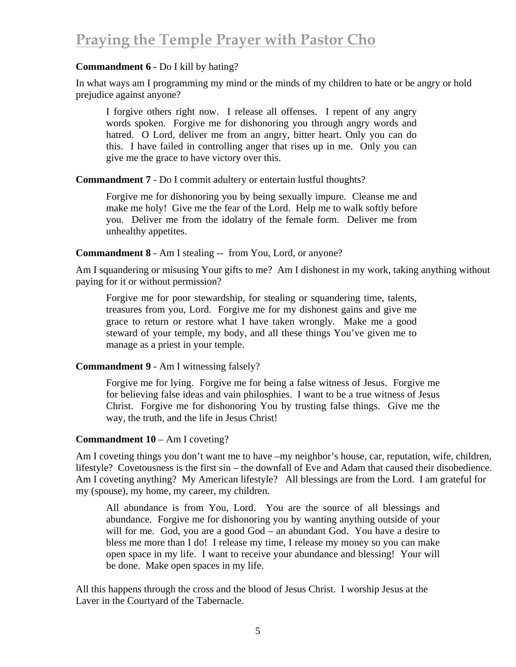### **Commandment 6** - Do I kill by hating?

In what ways am I programming my mind or the minds of my children to hate or be angry or hold prejudice against anyone?

I forgive others right now. I release all offenses. I repent of any angry words spoken. Forgive me for dishonoring you through angry words and hatred. O Lord, deliver me from an angry, bitter heart. Only you can do this. I have failed in controlling anger that rises up in me. Only you can give me the grace to have victory over this.

**Commandment 7** - Do I commit adultery or entertain lustful thoughts?

Forgive me for dishonoring you by being sexually impure. Cleanse me and make me holy! Give me the fear of the Lord. Help me to walk softly before you. Deliver me from the idolatry of the female form. Deliver me from unhealthy appetites.

#### **Commandment 8** - Am I stealing -- from You, Lord, or anyone?

Am I squandering or misusing Your gifts to me? Am I dishonest in my work, taking anything without paying for it or without permission?

Forgive me for poor stewardship, for stealing or squandering time, talents, treasures from you, Lord. Forgive me for my dishonest gains and give me grace to return or restore what I have taken wrongly. Make me a good steward of your temple, my body, and all these things You've given me to manage as a priest in your temple.

## **Commandment 9** - Am I witnessing falsely?

Forgive me for lying. Forgive me for being a false witness of Jesus. Forgive me for believing false ideas and vain philosphies. I want to be a true witness of Jesus Christ. Forgive me for dishonoring You by trusting false things. Give me the way, the truth, and the life in Jesus Christ!

## **Commandment 10** – Am I coveting?

Am I coveting things you don't want me to have –my neighbor's house, car, reputation, wife, children, lifestyle? Covetousness is the first sin – the downfall of Eve and Adam that caused their disobedience. Am I coveting anything? My American lifestyle? All blessings are from the Lord. I am grateful for my (spouse), my home, my career, my children.

All abundance is from You, Lord. You are the source of all blessings and abundance. Forgive me for dishonoring you by wanting anything outside of your will for me. God, you are a good God – an abundant God. You have a desire to bless me more than I do! I release my time, I release my money so you can make open space in my life. I want to receive your abundance and blessing! Your will be done. Make open spaces in my life.

All this happens through the cross and the blood of Jesus Christ. I worship Jesus at the Laver in the Courtyard of the Tabernacle.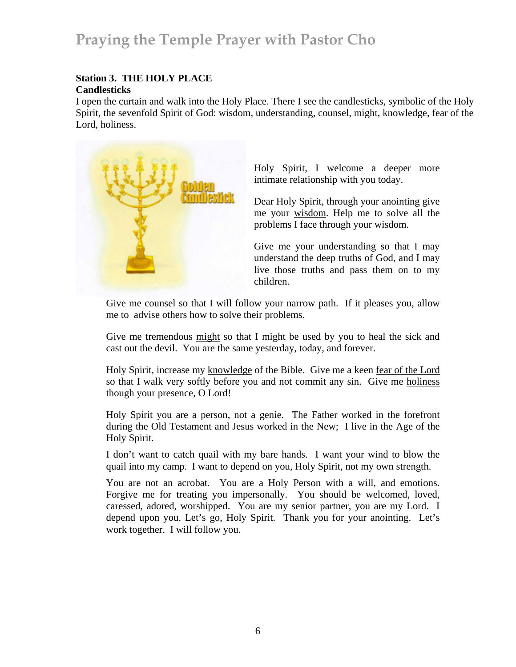## **Station 3. THE HOLY PLACE**

#### **Candlesticks**

I open the curtain and walk into the Holy Place. There I see the candlesticks, symbolic of the Holy Spirit, the sevenfold Spirit of God: wisdom, understanding, counsel, might, knowledge, fear of the Lord, holiness.



Holy Spirit, I welcome a deeper more intimate relationship with you today.

Dear Holy Spirit, through your anointing give me your wisdom. Help me to solve all the problems I face through your wisdom.

Give me your understanding so that I may understand the deep truths of God, and I may live those truths and pass them on to my children.

Give me counsel so that I will follow your narrow path. If it pleases you, allow me to advise others how to solve their problems.

Give me tremendous might so that I might be used by you to heal the sick and cast out the devil. You are the same yesterday, today, and forever.

Holy Spirit, increase my knowledge of the Bible. Give me a keen fear of the Lord so that I walk very softly before you and not commit any sin. Give me holiness though your presence, O Lord!

Holy Spirit you are a person, not a genie. The Father worked in the forefront during the Old Testament and Jesus worked in the New; I live in the Age of the Holy Spirit.

I don't want to catch quail with my bare hands. I want your wind to blow the quail into my camp. I want to depend on you, Holy Spirit, not my own strength.

You are not an acrobat. You are a Holy Person with a will, and emotions. Forgive me for treating you impersonally. You should be welcomed, loved, caressed, adored, worshipped. You are my senior partner, you are my Lord. I depend upon you. Let's go, Holy Spirit. Thank you for your anointing. Let's work together. I will follow you.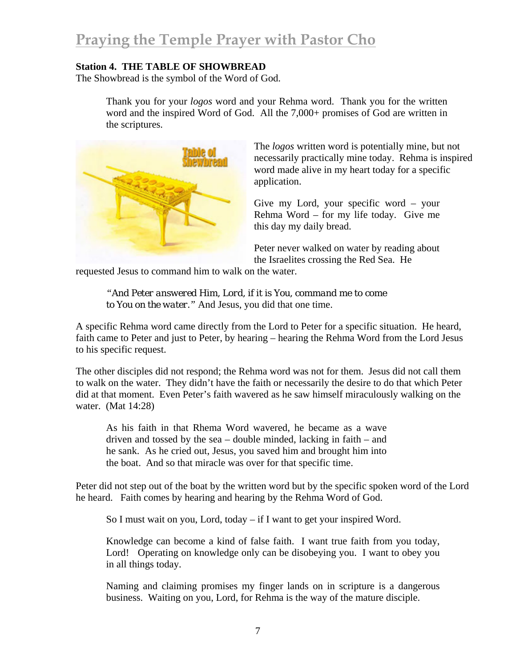#### **Station 4. THE TABLE OF SHOWBREAD**

The Showbread is the symbol of the Word of God.

Thank you for your *logos* word and your Rehma word. Thank you for the written word and the inspired Word of God. All the 7,000+ promises of God are written in the scriptures.



The *logos* written word is potentially mine, but not necessarily practically mine today. Rehma is inspired word made alive in my heart today for a specific application.

Give my Lord, your specific word – your Rehma Word – for my life today. Give me this day my daily bread.

Peter never walked on water by reading about the Israelites crossing the Red Sea. He

requested Jesus to command him to walk on the water.

*"And Peter answered Him, Lord, if it is You, command me to come to You on the water."* And Jesus, you did that one time.

A specific Rehma word came directly from the Lord to Peter for a specific situation. He heard, faith came to Peter and just to Peter, by hearing – hearing the Rehma Word from the Lord Jesus to his specific request.

The other disciples did not respond; the Rehma word was not for them. Jesus did not call them to walk on the water. They didn't have the faith or necessarily the desire to do that which Peter did at that moment. Even Peter's faith wavered as he saw himself miraculously walking on the water. (Mat 14:28)

As his faith in that Rhema Word wavered, he became as a wave driven and tossed by the sea – double minded, lacking in faith – and he sank. As he cried out, Jesus, you saved him and brought him into the boat. And so that miracle was over for that specific time.

Peter did not step out of the boat by the written word but by the specific spoken word of the Lord he heard. Faith comes by hearing and hearing by the Rehma Word of God.

So I must wait on you, Lord, today – if I want to get your inspired Word.

Knowledge can become a kind of false faith. I want true faith from you today, Lord! Operating on knowledge only can be disobeying you. I want to obey you in all things today.

Naming and claiming promises my finger lands on in scripture is a dangerous business. Waiting on you, Lord, for Rehma is the way of the mature disciple.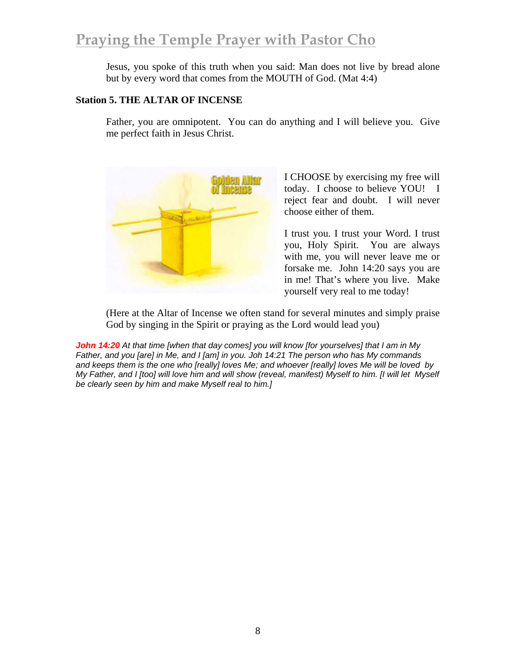## **Praying the Temple Prayer with Pastor Cho**

Jesus, you spoke of this truth when you said: Man does not live by bread alone but by every word that comes from the MOUTH of God. (Mat 4:4)

#### **Station 5. THE ALTAR OF INCENSE**

Father, you are omnipotent. You can do anything and I will believe you. Give me perfect faith in Jesus Christ.



I CHOOSE by exercising my free will today. I choose to believe YOU! I reject fear and doubt. I will never choose either of them.

I trust you. I trust your Word. I trust you, Holy Spirit. You are always with me, you will never leave me or forsake me. John 14:20 says you are in me! That's where you live. Make yourself very real to me today!

(Here at the Altar of Incense we often stand for several minutes and simply praise God by singing in the Spirit or praying as the Lord would lead you)

*John 14:20 At that time [when that day comes] you will know [for yourselves] that I am in My Father, and you [are] in Me, and I [am] in you. Joh 14:21 The person who has My commands and keeps them is the one who [really] loves Me; and whoever [really] loves Me will be loved by My Father, and I [too] will love him and will show (reveal, manifest) Myself to him. [I will let Myself be clearly seen by him and make Myself real to him.]*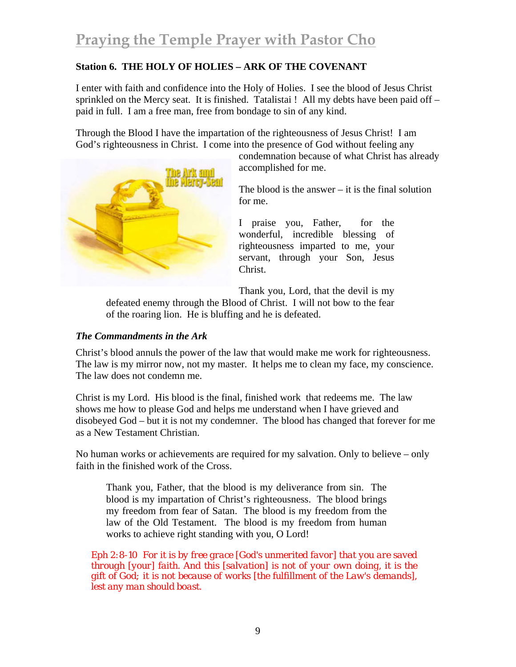### **Station 6. THE HOLY OF HOLIES – ARK OF THE COVENANT**

I enter with faith and confidence into the Holy of Holies. I see the blood of Jesus Christ sprinkled on the Mercy seat. It is finished. Tatalistai ! All my debts have been paid off – paid in full. I am a free man, free from bondage to sin of any kind.

Through the Blood I have the impartation of the righteousness of Jesus Christ! I am God's righteousness in Christ. I come into the presence of God without feeling any



condemnation because of what Christ has already accomplished for me.

The blood is the answer  $-$  it is the final solution for me.

I praise you, Father, for the wonderful, incredible blessing of righteousness imparted to me, your servant, through your Son, Jesus Christ.

Thank you, Lord, that the devil is my

defeated enemy through the Blood of Christ. I will not bow to the fear of the roaring lion. He is bluffing and he is defeated.

#### *The Commandments in the Ark*

Christ's blood annuls the power of the law that would make me work for righteousness. The law is my mirror now, not my master. It helps me to clean my face, my conscience. The law does not condemn me.

Christ is my Lord. His blood is the final, finished work that redeems me. The law shows me how to please God and helps me understand when I have grieved and disobeyed God – but it is not my condemner. The blood has changed that forever for me as a New Testament Christian.

No human works or achievements are required for my salvation. Only to believe – only faith in the finished work of the Cross.

Thank you, Father, that the blood is my deliverance from sin. The blood is my impartation of Christ's righteousness. The blood brings my freedom from fear of Satan. The blood is my freedom from the law of the Old Testament. The blood is my freedom from human works to achieve right standing with you, O Lord!

*Eph 2:8-10 For it is by free grace [God's unmerited favor] that you are saved through [your] faith. And this [salvation] is not of your own doing, it is the gift of God; it is not because of works [the fulfillment of the Law's demands], lest any man should boast.*